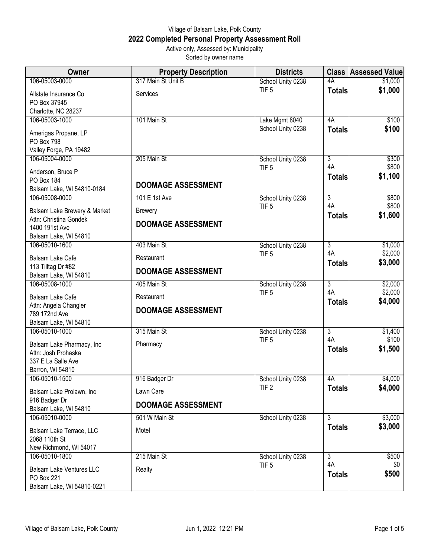## Village of Balsam Lake, Polk County **2022 Completed Personal Property Assessment Roll** Active only, Assessed by: Municipality

Sorted by owner name

| Owner                                       | <b>Property Description</b> | <b>Districts</b>                      |                      | <b>Class Assessed Value</b> |
|---------------------------------------------|-----------------------------|---------------------------------------|----------------------|-----------------------------|
| 106-05003-0000                              | 317 Main St Unit B          | School Unity 0238                     | 4A                   | \$1,000                     |
| Allstate Insurance Co                       | Services                    | TIF <sub>5</sub>                      | <b>Totals</b>        | \$1,000                     |
| PO Box 37945                                |                             |                                       |                      |                             |
| Charlotte, NC 28237                         |                             |                                       |                      |                             |
| 106-05003-1000                              | 101 Main St                 | Lake Mgmt 8040                        | 4A                   | \$100                       |
| Amerigas Propane, LP                        |                             | School Unity 0238                     | <b>Totals</b>        | \$100                       |
| PO Box 798                                  |                             |                                       |                      |                             |
| Valley Forge, PA 19482                      |                             |                                       |                      |                             |
| 106-05004-0000                              | 205 Main St                 | School Unity 0238                     | $\overline{3}$       | \$300                       |
| Anderson, Bruce P                           |                             | TIF <sub>5</sub>                      | 4A                   | \$800<br>\$1,100            |
| PO Box 184                                  | <b>DOOMAGE ASSESSMENT</b>   |                                       | <b>Totals</b>        |                             |
| Balsam Lake, WI 54810-0184                  |                             |                                       |                      |                             |
| 106-05008-0000                              | 101 E 1st Ave               | School Unity 0238                     | $\overline{3}$<br>4A | \$800<br>\$800              |
| Balsam Lake Brewery & Market                | <b>Brewery</b>              | TIF <sub>5</sub>                      | <b>Totals</b>        | \$1,600                     |
| Attn: Christina Gondek                      | <b>DOOMAGE ASSESSMENT</b>   |                                       |                      |                             |
| 1400 191st Ave                              |                             |                                       |                      |                             |
| Balsam Lake, WI 54810<br>106-05010-1600     | 403 Main St                 | School Unity 0238                     | $\overline{3}$       | \$1,000                     |
|                                             |                             | TIF <sub>5</sub>                      | 4A                   | \$2,000                     |
| Balsam Lake Cafe                            | Restaurant                  |                                       | <b>Totals</b>        | \$3,000                     |
| 113 Tilltag Dr #82<br>Balsam Lake, WI 54810 | <b>DOOMAGE ASSESSMENT</b>   |                                       |                      |                             |
| 106-05008-1000                              | 405 Main St                 | School Unity 0238                     | $\overline{3}$       | \$2,000                     |
| Balsam Lake Cafe                            | Restaurant                  | TIF <sub>5</sub>                      | 4A                   | \$2,000                     |
| Attn: Angela Changler                       |                             |                                       | <b>Totals</b>        | \$4,000                     |
| 789 172nd Ave                               | <b>DOOMAGE ASSESSMENT</b>   |                                       |                      |                             |
| Balsam Lake, WI 54810                       |                             |                                       |                      |                             |
| 106-05010-1000                              | 315 Main St                 | School Unity 0238                     | $\overline{3}$       | \$1,400                     |
| Balsam Lake Pharmacy, Inc                   | Pharmacy                    | TIF <sub>5</sub>                      | 4A                   | \$100                       |
| Attn: Josh Prohaska                         |                             |                                       | <b>Totals</b>        | \$1,500                     |
| 337 E La Salle Ave                          |                             |                                       |                      |                             |
| Barron, WI 54810                            |                             |                                       |                      |                             |
| 106-05010-1500                              | 916 Badger Dr               | School Unity 0238<br>TIF <sub>2</sub> | 4A                   | \$4,000                     |
| Balsam Lake Prolawn, Inc                    | Lawn Care                   |                                       | <b>Totals</b>        | \$4,000                     |
| 916 Badger Dr                               | <b>DOOMAGE ASSESSMENT</b>   |                                       |                      |                             |
| Balsam Lake, WI 54810<br>106-05010-0000     | 501 W Main St               | School Unity 0238                     | $\overline{3}$       | \$3,000                     |
|                                             |                             |                                       | <b>Totals</b>        | \$3,000                     |
| Balsam Lake Terrace, LLC                    | Motel                       |                                       |                      |                             |
| 2068 110th St<br>New Richmond, WI 54017     |                             |                                       |                      |                             |
| 106-05010-1800                              | 215 Main St                 | School Unity 0238                     | $\overline{3}$       | \$500                       |
|                                             |                             | TIF <sub>5</sub>                      | 4A                   | \$0                         |
| <b>Balsam Lake Ventures LLC</b>             | Realty                      |                                       | <b>Totals</b>        | \$500                       |
|                                             |                             |                                       |                      |                             |
| PO Box 221<br>Balsam Lake, WI 54810-0221    |                             |                                       |                      |                             |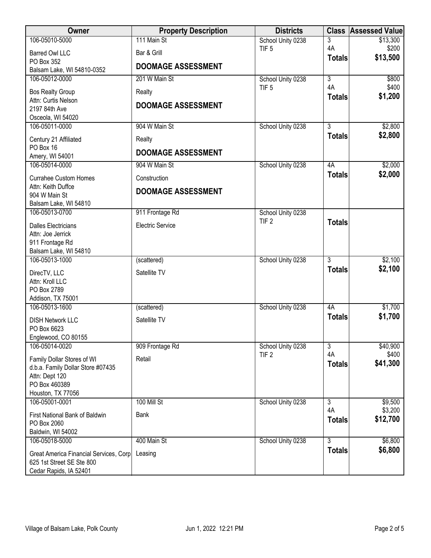| Owner                                               | <b>Property Description</b> | <b>Districts</b>                      |                           | <b>Class Assessed Value</b> |
|-----------------------------------------------------|-----------------------------|---------------------------------------|---------------------------|-----------------------------|
| 106-05010-5000                                      | 111 Main St                 | School Unity 0238                     | 3                         | \$13,300                    |
| <b>Barred Owl LLC</b>                               | Bar & Grill                 | TIF <sub>5</sub>                      | 4A<br><b>Totals</b>       | \$200<br>\$13,500           |
| PO Box 352<br>Balsam Lake, WI 54810-0352            | <b>DOOMAGE ASSESSMENT</b>   |                                       |                           |                             |
| 106-05012-0000                                      | 201 W Main St               | School Unity 0238                     | $\overline{\overline{3}}$ | \$800                       |
| <b>Bos Realty Group</b>                             | Realty                      | TIF <sub>5</sub>                      | 4A                        | \$400                       |
| Attn: Curtis Nelson                                 |                             |                                       | <b>Totals</b>             | \$1,200                     |
| 2197 84th Ave                                       | <b>DOOMAGE ASSESSMENT</b>   |                                       |                           |                             |
| Osceola, WI 54020<br>106-05011-0000                 | 904 W Main St               | School Unity 0238                     | $\overline{3}$            | \$2,800                     |
|                                                     |                             |                                       | <b>Totals</b>             | \$2,800                     |
| Century 21 Affiliated<br>PO Box 16                  | Realty                      |                                       |                           |                             |
| Amery, WI 54001                                     | <b>DOOMAGE ASSESSMENT</b>   |                                       |                           |                             |
| 106-05014-0000                                      | 904 W Main St               | School Unity 0238                     | 4A                        | \$2,000                     |
| <b>Currahee Custom Homes</b>                        | Construction                |                                       | <b>Totals</b>             | \$2,000                     |
| Attn: Keith Duffce<br>904 W Main St                 | <b>DOOMAGE ASSESSMENT</b>   |                                       |                           |                             |
| Balsam Lake, WI 54810                               |                             |                                       |                           |                             |
| 106-05013-0700                                      | 911 Frontage Rd             | School Unity 0238                     |                           |                             |
| <b>Dalles Electricians</b>                          | <b>Electric Service</b>     | TIF <sub>2</sub>                      | <b>Totals</b>             |                             |
| Attn: Joe Jerrick                                   |                             |                                       |                           |                             |
| 911 Frontage Rd<br>Balsam Lake, WI 54810            |                             |                                       |                           |                             |
| 106-05013-1000                                      | (scattered)                 | School Unity 0238                     | $\overline{3}$            | \$2,100                     |
| DirecTV, LLC                                        | Satellite TV                |                                       | <b>Totals</b>             | \$2,100                     |
| Attn: Kroll LLC                                     |                             |                                       |                           |                             |
| PO Box 2789<br>Addison, TX 75001                    |                             |                                       |                           |                             |
| 106-05013-1600                                      | (scattered)                 | School Unity 0238                     | 4A                        | \$1,700                     |
| <b>DISH Network LLC</b>                             | Satellite TV                |                                       | <b>Totals</b>             | \$1,700                     |
| PO Box 6623                                         |                             |                                       |                           |                             |
| Englewood, CO 80155                                 |                             |                                       |                           |                             |
| 106-05014-0020                                      | 909 Frontage Rd             | School Unity 0238<br>TIF <sub>2</sub> | 3<br>4A                   | \$40,900<br>\$400           |
| Family Dollar Stores of WI                          | Retail                      |                                       | <b>Totals</b>             | \$41,300                    |
| d.b.a. Family Dollar Store #07435<br>Attn: Dept 120 |                             |                                       |                           |                             |
| PO Box 460389                                       |                             |                                       |                           |                             |
| Houston, TX 77056                                   |                             |                                       |                           |                             |
| 106-05001-0001                                      | 100 Mill St                 | School Unity 0238                     | $\overline{3}$<br>4A      | \$9,500<br>\$3,200          |
| First National Bank of Baldwin<br>PO Box 2060       | Bank                        |                                       | <b>Totals</b>             | \$12,700                    |
| Baldwin, WI 54002                                   |                             |                                       |                           |                             |
| 106-05018-5000                                      | 400 Main St                 | School Unity 0238                     | 3                         | \$6,800                     |
| Great America Financial Services, Corp              | Leasing                     |                                       | <b>Totals</b>             | \$6,800                     |
| 625 1st Street SE Ste 800                           |                             |                                       |                           |                             |
| Cedar Rapids, IA 52401                              |                             |                                       |                           |                             |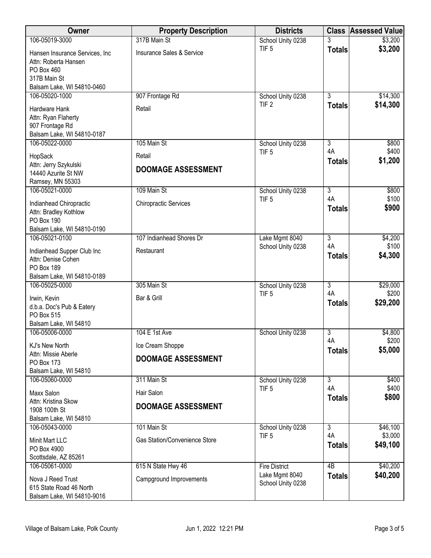| Owner                                                                                                              | <b>Property Description</b>            | <b>Districts</b>                      |                      | <b>Class Assessed Value</b> |
|--------------------------------------------------------------------------------------------------------------------|----------------------------------------|---------------------------------------|----------------------|-----------------------------|
| 106-05019-3000                                                                                                     | 317B Main St                           | School Unity 0238                     |                      | \$3,200                     |
| Hansen Insurance Services, Inc<br>Attn: Roberta Hansen<br>PO Box 460<br>317B Main St<br>Balsam Lake, WI 54810-0460 | Insurance Sales & Service              | TIF <sub>5</sub>                      | <b>Totals</b>        | \$3,200                     |
| 106-05020-1000                                                                                                     | 907 Frontage Rd                        | School Unity 0238                     | $\overline{3}$       | \$14,300                    |
| Hardware Hank<br>Attn: Ryan Flaherty<br>907 Frontage Rd<br>Balsam Lake, WI 54810-0187                              | Retail                                 | TIF <sub>2</sub>                      | <b>Totals</b>        | \$14,300                    |
| 106-05022-0000                                                                                                     | 105 Main St                            | School Unity 0238<br>TIF <sub>5</sub> | $\overline{3}$<br>4A | \$800<br>\$400              |
| HopSack                                                                                                            | Retail                                 |                                       | <b>Totals</b>        | \$1,200                     |
| Attn: Jerry Szykulski<br>14440 Azurite St NW<br>Ramsey, MN 55303                                                   | <b>DOOMAGE ASSESSMENT</b>              |                                       |                      |                             |
| 106-05021-0000                                                                                                     | 109 Main St                            | School Unity 0238                     | $\overline{3}$       | \$800                       |
| Indianhead Chiropractic<br>Attn: Bradley Kothlow<br>PO Box 190                                                     | <b>Chiropractic Services</b>           | TIF <sub>5</sub>                      | 4A<br><b>Totals</b>  | \$100<br>\$900              |
| Balsam Lake, WI 54810-0190                                                                                         |                                        |                                       |                      |                             |
| 106-05021-0100<br>Indianhead Supper Club Inc                                                                       | 107 Indianhead Shores Dr<br>Restaurant | Lake Mgmt 8040<br>School Unity 0238   | $\overline{3}$<br>4A | \$4,200<br>\$100<br>\$4,300 |
| Attn: Denise Cohen<br>PO Box 189<br>Balsam Lake, WI 54810-0189                                                     |                                        |                                       | <b>Totals</b>        |                             |
| 106-05025-0000                                                                                                     | 305 Main St                            | School Unity 0238                     | $\overline{3}$       | \$29,000                    |
| Irwin, Kevin<br>d.b.a. Doc's Pub & Eatery<br>PO Box 515<br>Balsam Lake, WI 54810                                   | Bar & Grill                            | TIF <sub>5</sub>                      | 4A<br><b>Totals</b>  | \$200<br>\$29,200           |
| 106-05006-0000                                                                                                     | 104 E 1st Ave                          | School Unity 0238                     | $\overline{3}$       | \$4,800                     |
| KJ's New North                                                                                                     | Ice Cream Shoppe                       |                                       | 4A                   | \$200                       |
| Attn: Missie Aberle                                                                                                | <b>DOOMAGE ASSESSMENT</b>              |                                       | <b>Totals</b>        | \$5,000                     |
| PO Box 173                                                                                                         |                                        |                                       |                      |                             |
| Balsam Lake, WI 54810<br>106-05060-0000                                                                            | 311 Main St                            | School Unity 0238                     | $\overline{3}$       | \$400                       |
| Maxx Salon                                                                                                         | Hair Salon                             | TIF <sub>5</sub>                      | 4A<br><b>Totals</b>  | \$400<br>\$800              |
| Attn: Kristina Skow<br>1908 100th St                                                                               | <b>DOOMAGE ASSESSMENT</b>              |                                       |                      |                             |
| Balsam Lake, WI 54810                                                                                              |                                        |                                       |                      |                             |
| 106-05043-0000                                                                                                     | 101 Main St                            | School Unity 0238                     | $\overline{3}$       | \$46,100                    |
| Minit Mart LLC<br>PO Box 4900<br>Scottsdale, AZ 85261                                                              | Gas Station/Convenience Store          | TIF <sub>5</sub>                      | 4A<br><b>Totals</b>  | \$3,000<br>\$49,100         |
| 106-05061-0000                                                                                                     | 615 N State Hwy 46                     | <b>Fire District</b>                  | $\overline{AB}$      | \$40,200                    |
| Nova J Reed Trust<br>615 State Road 46 North<br>Balsam Lake, WI 54810-9016                                         | Campground Improvements                | Lake Mgmt 8040<br>School Unity 0238   | <b>Totals</b>        | \$40,200                    |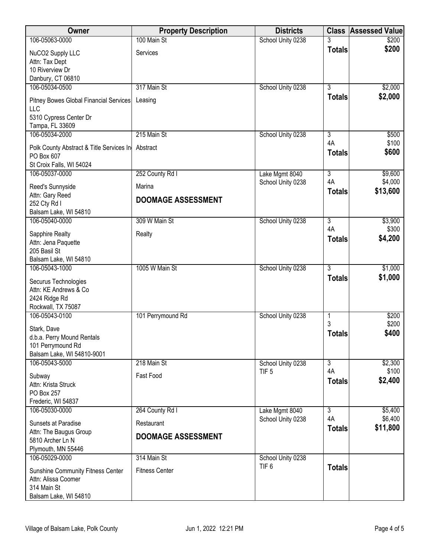| Owner                                           | <b>Property Description</b> | <b>Districts</b>                    | <b>Class</b>         | <b>Assessed Value</b> |
|-------------------------------------------------|-----------------------------|-------------------------------------|----------------------|-----------------------|
| 106-05063-0000                                  | 100 Main St                 | School Unity 0238                   |                      | \$200                 |
| NuCO2 Supply LLC                                | Services                    |                                     | <b>Totals</b>        | \$200                 |
| Attn: Tax Dept                                  |                             |                                     |                      |                       |
| 10 Riverview Dr<br>Danbury, CT 06810            |                             |                                     |                      |                       |
| 106-05034-0500                                  | 317 Main St                 | School Unity 0238                   | $\overline{3}$       | \$2,000               |
| Pitney Bowes Global Financial Services          | Leasing                     |                                     | <b>Totals</b>        | \$2,000               |
| LLC                                             |                             |                                     |                      |                       |
| 5310 Cypress Center Dr                          |                             |                                     |                      |                       |
| Tampa, FL 33609                                 |                             |                                     |                      |                       |
| 106-05034-2000                                  | 215 Main St                 | School Unity 0238                   | 3<br>4A              | \$500<br>\$100        |
| Polk County Abstract & Title Services In        | Abstract                    |                                     | <b>Totals</b>        | \$600                 |
| PO Box 607                                      |                             |                                     |                      |                       |
| St Croix Falls, WI 54024<br>106-05037-0000      | 252 County Rd I             | Lake Mgmt 8040                      | $\overline{3}$       | \$9,600               |
|                                                 |                             | School Unity 0238                   | 4A                   | \$4,000               |
| Reed's Sunnyside<br>Attn: Gary Reed             | Marina                      |                                     | <b>Totals</b>        | \$13,600              |
| 252 Cty Rd I                                    | <b>DOOMAGE ASSESSMENT</b>   |                                     |                      |                       |
| Balsam Lake, WI 54810                           |                             |                                     |                      |                       |
| 106-05040-0000                                  | 309 W Main St               | School Unity 0238                   | $\overline{3}$       | \$3,900               |
| Sapphire Realty                                 | Realty                      |                                     | 4A                   | \$300                 |
| Attn: Jena Paquette                             |                             |                                     | <b>Totals</b>        | \$4,200               |
| 205 Basil St                                    |                             |                                     |                      |                       |
| Balsam Lake, WI 54810<br>106-05043-1000         | 1005 W Main St              | School Unity 0238                   | $\overline{3}$       | \$1,000               |
|                                                 |                             |                                     | <b>Totals</b>        | \$1,000               |
| Securus Technologies<br>Attn: KE Andrews & Co   |                             |                                     |                      |                       |
| 2424 Ridge Rd                                   |                             |                                     |                      |                       |
| Rockwall, TX 75087                              |                             |                                     |                      |                       |
| 106-05043-0100                                  | 101 Perrymound Rd           | School Unity 0238                   | 1<br>3               | \$200                 |
| Stark, Dave                                     |                             |                                     | <b>Totals</b>        | \$200<br>\$400        |
| d.b.a. Perry Mound Rentals                      |                             |                                     |                      |                       |
| 101 Perrymound Rd<br>Balsam Lake, WI 54810-9001 |                             |                                     |                      |                       |
| 106-05043-5000                                  | 218 Main St                 | School Unity 0238                   | $\overline{3}$       | \$2,300               |
| Subway                                          | Fast Food                   | TIF <sub>5</sub>                    | 4A                   | \$100                 |
| Attn: Krista Struck                             |                             |                                     | <b>Totals</b>        | \$2,400               |
| PO Box 257                                      |                             |                                     |                      |                       |
| Frederic, WI 54837                              |                             |                                     |                      |                       |
| 106-05030-0000                                  | 264 County Rd I             | Lake Mgmt 8040<br>School Unity 0238 | $\overline{3}$<br>4A | \$5,400<br>\$6,400    |
| Sunsets at Paradise                             | Restaurant                  |                                     | <b>Totals</b>        | \$11,800              |
| Attn: The Baugus Group<br>5810 Archer Ln N      | <b>DOOMAGE ASSESSMENT</b>   |                                     |                      |                       |
| Plymouth, MN 55446                              |                             |                                     |                      |                       |
| 106-05029-0000                                  | 314 Main St                 | School Unity 0238                   |                      |                       |
| Sunshine Community Fitness Center               | <b>Fitness Center</b>       | TIF <sub>6</sub>                    | <b>Totals</b>        |                       |
| Attn: Alissa Coomer                             |                             |                                     |                      |                       |
| 314 Main St                                     |                             |                                     |                      |                       |
| Balsam Lake, WI 54810                           |                             |                                     |                      |                       |